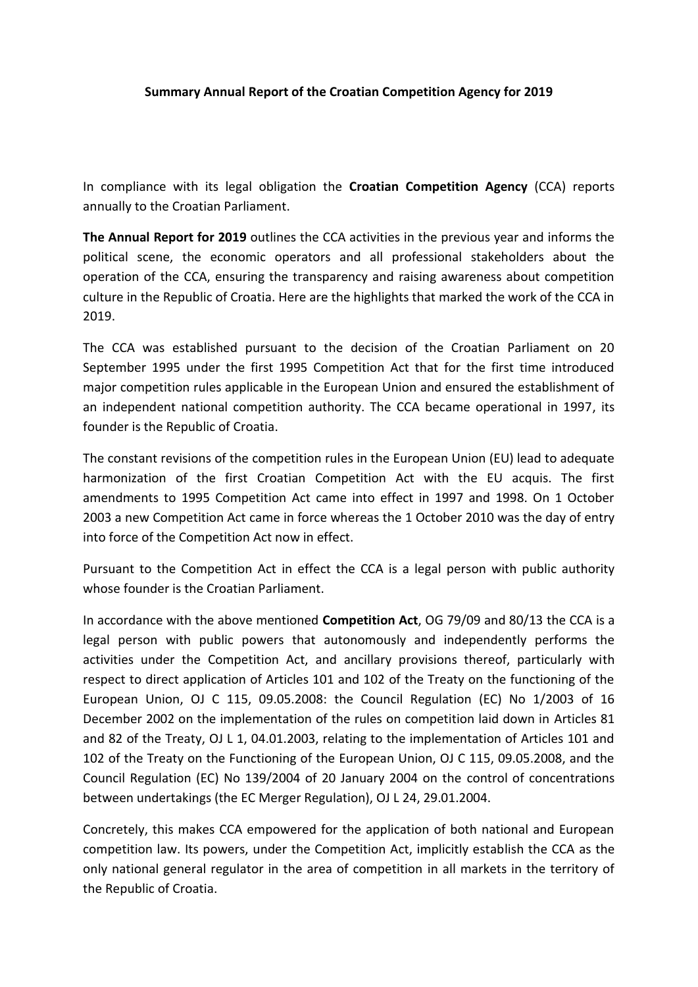## **Summary Annual Report of the Croatian Competition Agency for 2019**

In compliance with its legal obligation the **Croatian Competition Agency** (CCA) reports annually to the Croatian Parliament.

**The Annual Report for 2019** outlines the CCA activities in the previous year and informs the political scene, the economic operators and all professional stakeholders about the operation of the CCA, ensuring the transparency and raising awareness about competition culture in the Republic of Croatia. Here are the highlights that marked the work of the CCA in 2019.

The CCA was established pursuant to the decision of the Croatian Parliament on 20 September 1995 under the first 1995 Competition Act that for the first time introduced major competition rules applicable in the European Union and ensured the establishment of an independent national competition authority. The CCA became operational in 1997, its founder is the Republic of Croatia.

The constant revisions of the competition rules in the European Union (EU) lead to adequate harmonization of the first Croatian Competition Act with the EU acquis. The first amendments to 1995 Competition Act came into effect in 1997 and 1998. On 1 October 2003 a new Competition Act came in force whereas the 1 October 2010 was the day of entry into force of the Competition Act now in effect.

Pursuant to the Competition Act in effect the CCA is a legal person with public authority whose founder is the Croatian Parliament.

In accordance with the above mentioned **Competition Act**, OG 79/09 and 80/13 the CCA is a legal person with public powers that autonomously and independently performs the activities under the Competition Act, and ancillary provisions thereof, particularly with respect to direct application of Articles 101 and 102 of the Treaty on the functioning of the European Union, OJ C 115, 09.05.2008: the Council Regulation (EC) No 1/2003 of 16 December 2002 on the implementation of the rules on competition laid down in Articles 81 and 82 of the Treaty, OJ L 1, 04.01.2003, relating to the implementation of Articles 101 and 102 of the Treaty on the Functioning of the European Union, OJ C 115, 09.05.2008, and the Council Regulation (EC) No 139/2004 of 20 January 2004 on the control of concentrations between undertakings (the EC Merger Regulation), OJ L 24, 29.01.2004.

Concretely, this makes CCA empowered for the application of both national and European competition law. Its powers, under the Competition Act, implicitly establish the CCA as the only national general regulator in the area of competition in all markets in the territory of the Republic of Croatia.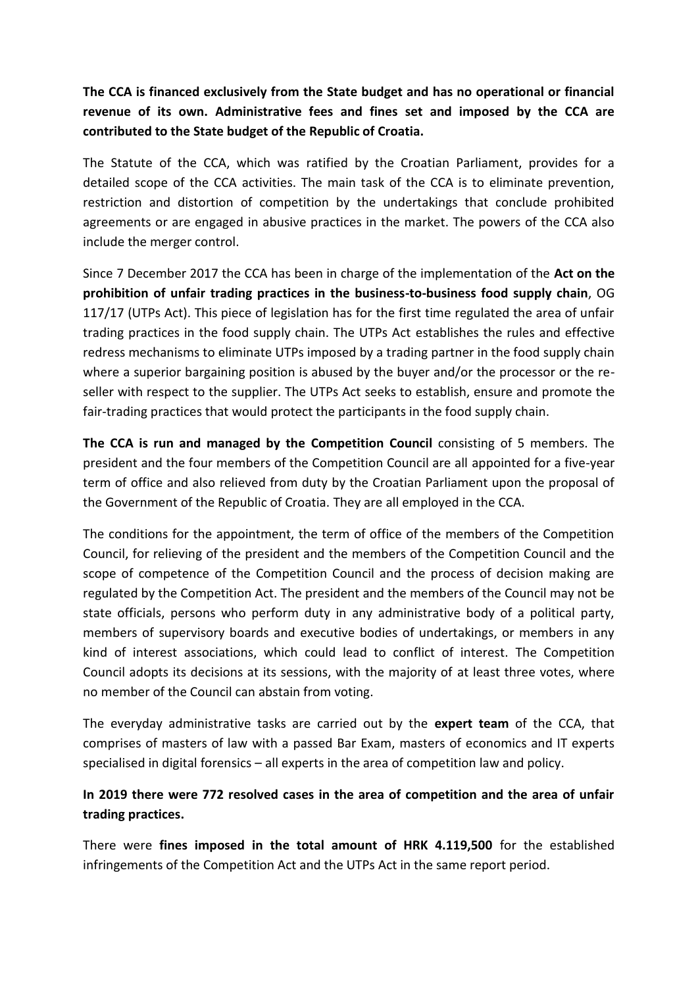**The CCA is financed exclusively from the State budget and has no operational or financial revenue of its own. Administrative fees and fines set and imposed by the CCA are contributed to the State budget of the Republic of Croatia.**

The Statute of the CCA, which was ratified by the Croatian Parliament, provides for a detailed scope of the CCA activities. The main task of the CCA is to eliminate prevention, restriction and distortion of competition by the undertakings that conclude prohibited agreements or are engaged in abusive practices in the market. The powers of the CCA also include the merger control.

Since 7 December 2017 the CCA has been in charge of the implementation of the **Act on the prohibition of unfair trading practices in the business-to-business food supply chain**, OG 117/17 (UTPs Act). This piece of legislation has for the first time regulated the area of unfair trading practices in the food supply chain. The UTPs Act establishes the rules and effective redress mechanisms to eliminate UTPs imposed by a trading partner in the food supply chain where a superior bargaining position is abused by the buyer and/or the processor or the reseller with respect to the supplier. The UTPs Act seeks to establish, ensure and promote the fair-trading practices that would protect the participants in the food supply chain.

**The CCA is run and managed by the Competition Council** consisting of 5 members. The president and the four members of the Competition Council are all appointed for a five-year term of office and also relieved from duty by the Croatian Parliament upon the proposal of the Government of the Republic of Croatia. They are all employed in the CCA.

The conditions for the appointment, the term of office of the members of the Competition Council, for relieving of the president and the members of the Competition Council and the scope of competence of the Competition Council and the process of decision making are regulated by the Competition Act. The president and the members of the Council may not be state officials, persons who perform duty in any administrative body of a political party, members of supervisory boards and executive bodies of undertakings, or members in any kind of interest associations, which could lead to conflict of interest. The Competition Council adopts its decisions at its sessions, with the majority of at least three votes, where no member of the Council can abstain from voting.

The everyday administrative tasks are carried out by the **expert team** of the CCA, that comprises of masters of law with a passed Bar Exam, masters of economics and IT experts specialised in digital forensics – all experts in the area of competition law and policy.

## **In 2019 there were 772 resolved cases in the area of competition and the area of unfair trading practices.**

There were **fines imposed in the total amount of HRK 4.119,500** for the established infringements of the Competition Act and the UTPs Act in the same report period.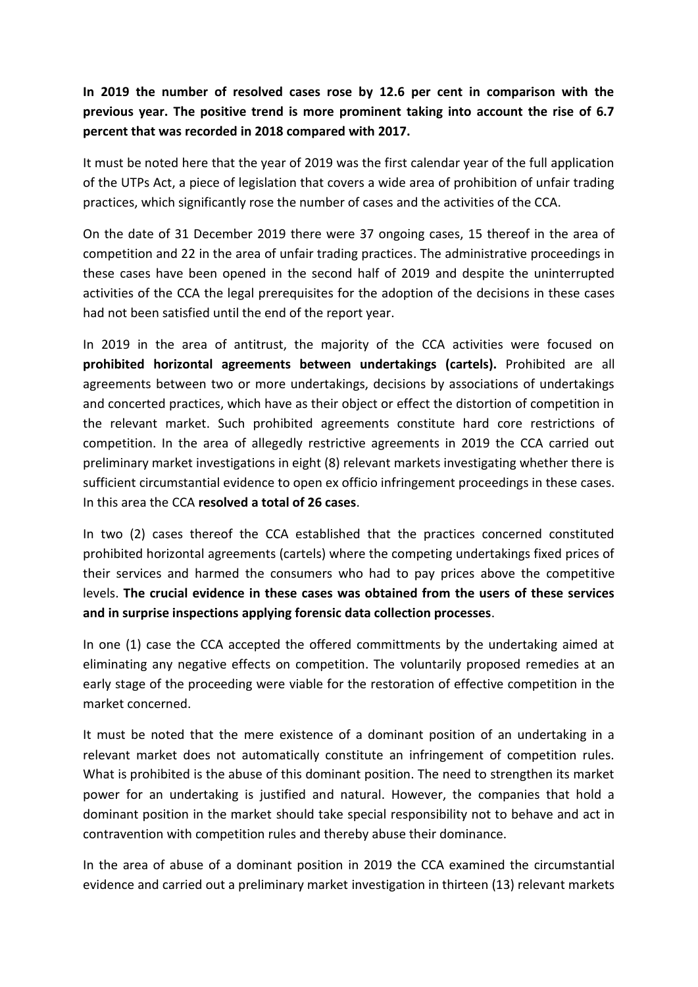## **In 2019 the number of resolved cases rose by 12.6 per cent in comparison with the previous year. The positive trend is more prominent taking into account the rise of 6.7 percent that was recorded in 2018 compared with 2017.**

It must be noted here that the year of 2019 was the first calendar year of the full application of the UTPs Act, a piece of legislation that covers a wide area of prohibition of unfair trading practices, which significantly rose the number of cases and the activities of the CCA.

On the date of 31 December 2019 there were 37 ongoing cases, 15 thereof in the area of competition and 22 in the area of unfair trading practices. The administrative proceedings in these cases have been opened in the second half of 2019 and despite the uninterrupted activities of the CCA the legal prerequisites for the adoption of the decisions in these cases had not been satisfied until the end of the report year.

In 2019 in the area of antitrust, the majority of the CCA activities were focused on **prohibited horizontal agreements between undertakings (cartels).** Prohibited are all agreements between two or more undertakings, decisions by associations of undertakings and concerted practices, which have as their object or effect the distortion of competition in the relevant market. Such prohibited agreements constitute hard core restrictions of competition. In the area of allegedly restrictive agreements in 2019 the CCA carried out preliminary market investigations in eight (8) relevant markets investigating whether there is sufficient circumstantial evidence to open ex officio infringement proceedings in these cases. In this area the CCA **resolved a total of 26 cases**.

In two (2) cases thereof the CCA established that the practices concerned constituted prohibited horizontal agreements (cartels) where the competing undertakings fixed prices of their services and harmed the consumers who had to pay prices above the competitive levels. **The crucial evidence in these cases was obtained from the users of these services and in surprise inspections applying forensic data collection processes**.

In one (1) case the CCA accepted the offered committments by the undertaking aimed at eliminating any negative effects on competition. The voluntarily proposed remedies at an early stage of the proceeding were viable for the restoration of effective competition in the market concerned.

It must be noted that the mere existence of a dominant position of an undertaking in a relevant market does not automatically constitute an infringement of competition rules. What is prohibited is the abuse of this dominant position. The need to strengthen its market power for an undertaking is justified and natural. However, the companies that hold a dominant position in the market should take special responsibility not to behave and act in contravention with competition rules and thereby abuse their dominance.

In the area of abuse of a dominant position in 2019 the CCA examined the circumstantial evidence and carried out a preliminary market investigation in thirteen (13) relevant markets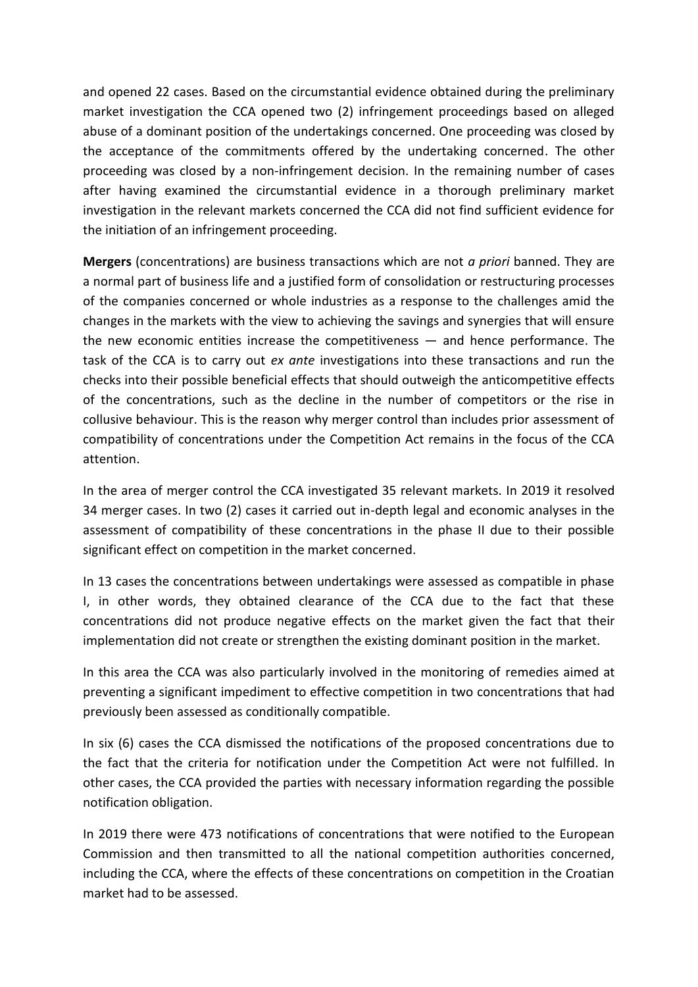and opened 22 cases. Based on the circumstantial evidence obtained during the preliminary market investigation the CCA opened two (2) infringement proceedings based on alleged abuse of a dominant position of the undertakings concerned. One proceeding was closed by the acceptance of the commitments offered by the undertaking concerned. The other proceeding was closed by a non-infringement decision. In the remaining number of cases after having examined the circumstantial evidence in a thorough preliminary market investigation in the relevant markets concerned the CCA did not find sufficient evidence for the initiation of an infringement proceeding.

**Mergers** (concentrations) are business transactions which are not *a priori* banned. They are a normal part of business life and a justified form of consolidation or restructuring processes of the companies concerned or whole industries as a response to the challenges amid the changes in the markets with the view to achieving the savings and synergies that will ensure the new economic entities increase the competitiveness  $-$  and hence performance. The task of the CCA is to carry out *ex ante* investigations into these transactions and run the checks into their possible beneficial effects that should outweigh the anticompetitive effects of the concentrations, such as the decline in the number of competitors or the rise in collusive behaviour. This is the reason why merger control than includes prior assessment of compatibility of concentrations under the Competition Act remains in the focus of the CCA attention.

In the area of merger control the CCA investigated 35 relevant markets. In 2019 it resolved 34 merger cases. In two (2) cases it carried out in-depth legal and economic analyses in the assessment of compatibility of these concentrations in the phase II due to their possible significant effect on competition in the market concerned.

In 13 cases the concentrations between undertakings were assessed as compatible in phase I, in other words, they obtained clearance of the CCA due to the fact that these concentrations did not produce negative effects on the market given the fact that their implementation did not create or strengthen the existing dominant position in the market.

In this area the CCA was also particularly involved in the monitoring of remedies aimed at preventing a significant impediment to effective competition in two concentrations that had previously been assessed as conditionally compatible.

In six (6) cases the CCA dismissed the notifications of the proposed concentrations due to the fact that the criteria for notification under the Competition Act were not fulfilled. In other cases, the CCA provided the parties with necessary information regarding the possible notification obligation.

In 2019 there were 473 notifications of concentrations that were notified to the European Commission and then transmitted to all the national competition authorities concerned, including the CCA, where the effects of these concentrations on competition in the Croatian market had to be assessed.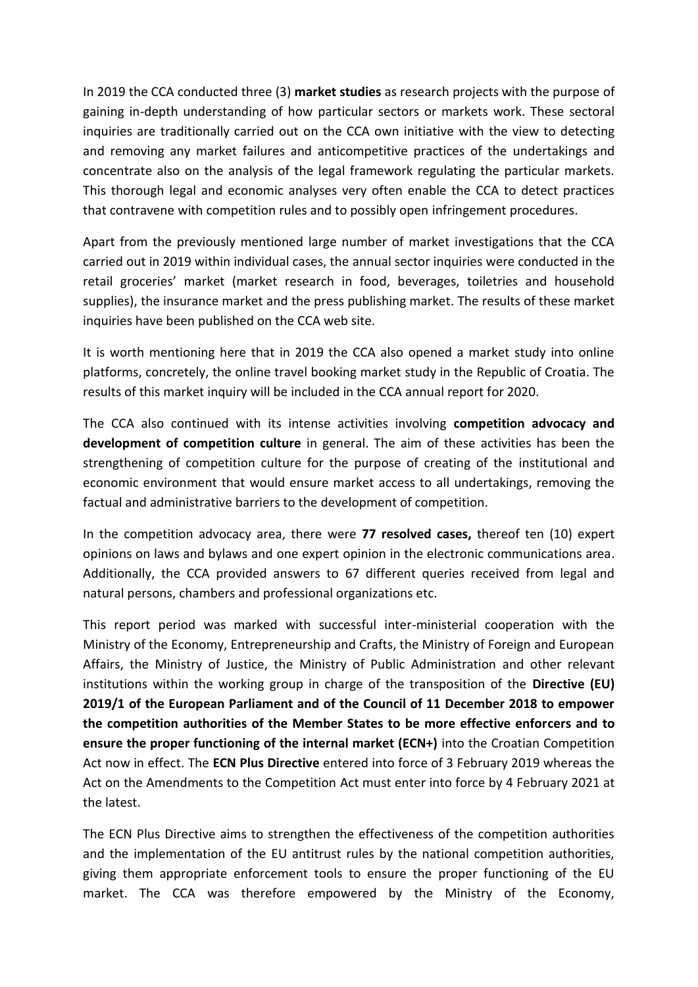In 2019 the CCA conducted three (3) **market studies** as research projects with the purpose of gaining in-depth understanding of how particular sectors or markets work. These sectoral inquiries are traditionally carried out on the CCA own initiative with the view to detecting and removing any market failures and anticompetitive practices of the undertakings and concentrate also on the analysis of the legal framework regulating the particular markets. This thorough legal and economic analyses very often enable the CCA to detect practices that contravene with competition rules and to possibly open infringement procedures.

Apart from the previously mentioned large number of market investigations that the CCA carried out in 2019 within individual cases, the annual sector inquiries were conducted in the retail groceries' market (market research in food, beverages, toiletries and household supplies), the insurance market and the press publishing market. The results of these market inquiries have been published on the CCA web site.

It is worth mentioning here that in 2019 the CCA also opened a market study into online platforms, concretely, the online travel booking market study in the Republic of Croatia. The results of this market inquiry will be included in the CCA annual report for 2020.

The CCA also continued with its intense activities involving **competition advocacy and development of competition culture** in general. The aim of these activities has been the strengthening of competition culture for the purpose of creating of the institutional and economic environment that would ensure market access to all undertakings, removing the factual and administrative barriers to the development of competition.

In the competition advocacy area, there were **77 resolved cases,** thereof ten (10) expert opinions on laws and bylaws and one expert opinion in the electronic communications area. Additionally, the CCA provided answers to 67 different queries received from legal and natural persons, chambers and professional organizations etc.

This report period was marked with successful inter-ministerial cooperation with the Ministry of the Economy, Entrepreneurship and Crafts, the Ministry of Foreign and European Affairs, the Ministry of Justice, the Ministry of Public Administration and other relevant institutions within the working group in charge of the transposition of the **Directive (EU) 2019/1 of the European Parliament and of the Council of 11 December 2018 to empower the competition authorities of the Member States to be more effective enforcers and to ensure the proper functioning of the internal market (ECN+)** into the Croatian Competition Act now in effect. The **ECN Plus Directive** entered into force of 3 February 2019 whereas the Act on the Amendments to the Competition Act must enter into force by 4 February 2021 at the latest.

The ECN Plus Directive aims to strengthen the effectiveness of the competition authorities and the implementation of the EU antitrust rules by the national competition authorities, giving them appropriate enforcement tools to ensure the proper functioning of the EU market. The CCA was therefore empowered by the Ministry of the Economy,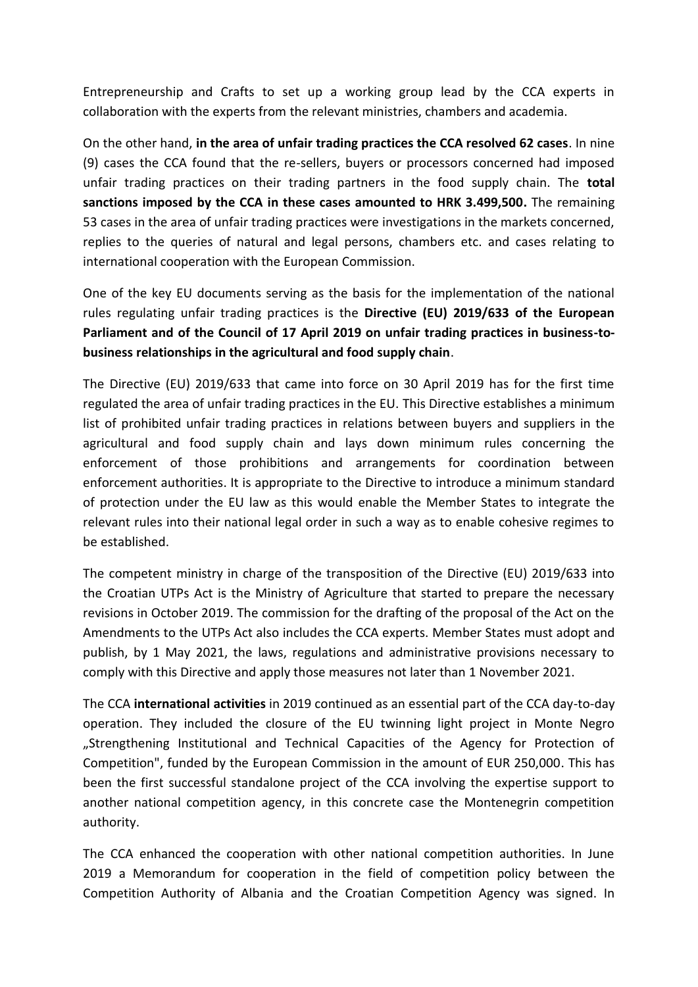Entrepreneurship and Crafts to set up a working group lead by the CCA experts in collaboration with the experts from the relevant ministries, chambers and academia.

On the other hand, **in the area of unfair trading practices the CCA resolved 62 cases**. In nine (9) cases the CCA found that the re-sellers, buyers or processors concerned had imposed unfair trading practices on their trading partners in the food supply chain. The **total sanctions imposed by the CCA in these cases amounted to HRK 3.499,500.** The remaining 53 cases in the area of unfair trading practices were investigations in the markets concerned, replies to the queries of natural and legal persons, chambers etc. and cases relating to international cooperation with the European Commission.

One of the key EU documents serving as the basis for the implementation of the national rules regulating unfair trading practices is the **Directive (EU) 2019/633 of the European Parliament and of the Council of 17 April 2019 on unfair trading practices in business-tobusiness relationships in the agricultural and food supply chain**.

The Directive (EU) 2019/633 that came into force on 30 April 2019 has for the first time regulated the area of unfair trading practices in the EU. This Directive establishes a minimum list of prohibited unfair trading practices in relations between buyers and suppliers in the agricultural and food supply chain and lays down minimum rules concerning the enforcement of those prohibitions and arrangements for coordination between enforcement authorities. It is appropriate to the Directive to introduce a minimum standard of protection under the EU law as this would enable the Member States to integrate the relevant rules into their national legal order in such a way as to enable cohesive regimes to be established.

The competent ministry in charge of the transposition of the Directive (EU) 2019/633 into the Croatian UTPs Act is the Ministry of Agriculture that started to prepare the necessary revisions in October 2019. The commission for the drafting of the proposal of the Act on the Amendments to the UTPs Act also includes the CCA experts. Member States must adopt and publish, by 1 May 2021, the laws, regulations and administrative provisions necessary to comply with this Directive and apply those measures not later than 1 November 2021.

The CCA **international activities** in 2019 continued as an essential part of the CCA day-to-day operation. They included the closure of the EU twinning light project in Monte Negro "Strengthening Institutional and Technical Capacities of the Agency for Protection of Competition", funded by the European Commission in the amount of EUR 250,000. This has been the first successful standalone project of the CCA involving the expertise support to another national competition agency, in this concrete case the Montenegrin competition authority.

The CCA enhanced the cooperation with other national competition authorities. In June 2019 a Memorandum for cooperation in the field of competition policy between the Competition Authority of Albania and the Croatian Competition Agency was signed. In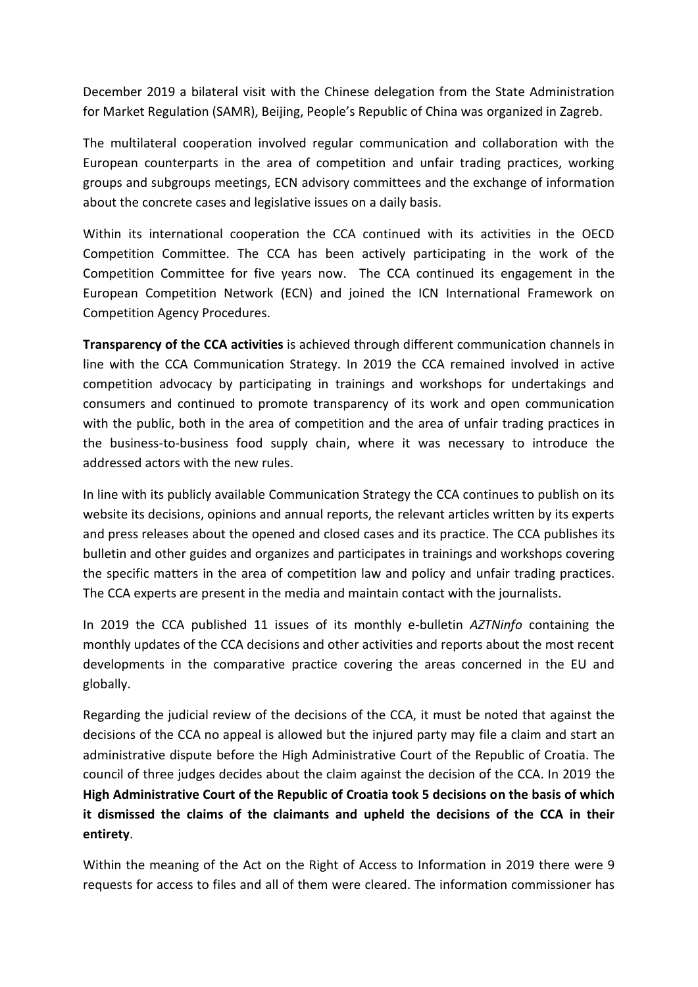December 2019 a bilateral visit with the Chinese delegation from the State Administration for Market Regulation (SAMR), Beijing, People's Republic of China was organized in Zagreb.

The multilateral cooperation involved regular communication and collaboration with the European counterparts in the area of competition and unfair trading practices, working groups and subgroups meetings, ECN advisory committees and the exchange of information about the concrete cases and legislative issues on a daily basis.

Within its international cooperation the CCA continued with its activities in the OECD Competition Committee. The CCA has been actively participating in the work of the Competition Committee for five years now. The CCA continued its engagement in the European Competition Network (ECN) and joined the ICN International Framework on Competition Agency Procedures.

**Transparency of the CCA activities** is achieved through different communication channels in line with the CCA Communication Strategy. In 2019 the CCA remained involved in active competition advocacy by participating in trainings and workshops for undertakings and consumers and continued to promote transparency of its work and open communication with the public, both in the area of competition and the area of unfair trading practices in the business-to-business food supply chain, where it was necessary to introduce the addressed actors with the new rules.

In line with its publicly available Communication Strategy the CCA continues to publish on its website its decisions, opinions and annual reports, the relevant articles written by its experts and press releases about the opened and closed cases and its practice. The CCA publishes its bulletin and other guides and organizes and participates in trainings and workshops covering the specific matters in the area of competition law and policy and unfair trading practices. The CCA experts are present in the media and maintain contact with the journalists.

In 2019 the CCA published 11 issues of its monthly e-bulletin *AZTNinfo* containing the monthly updates of the CCA decisions and other activities and reports about the most recent developments in the comparative practice covering the areas concerned in the EU and globally.

Regarding the judicial review of the decisions of the CCA, it must be noted that against the decisions of the CCA no appeal is allowed but the injured party may file a claim and start an administrative dispute before the High Administrative Court of the Republic of Croatia. The council of three judges decides about the claim against the decision of the CCA. In 2019 the **High Administrative Court of the Republic of Croatia took 5 decisions on the basis of which it dismissed the claims of the claimants and upheld the decisions of the CCA in their entirety**.

Within the meaning of the Act on the Right of Access to Information in 2019 there were 9 requests for access to files and all of them were cleared. The information commissioner has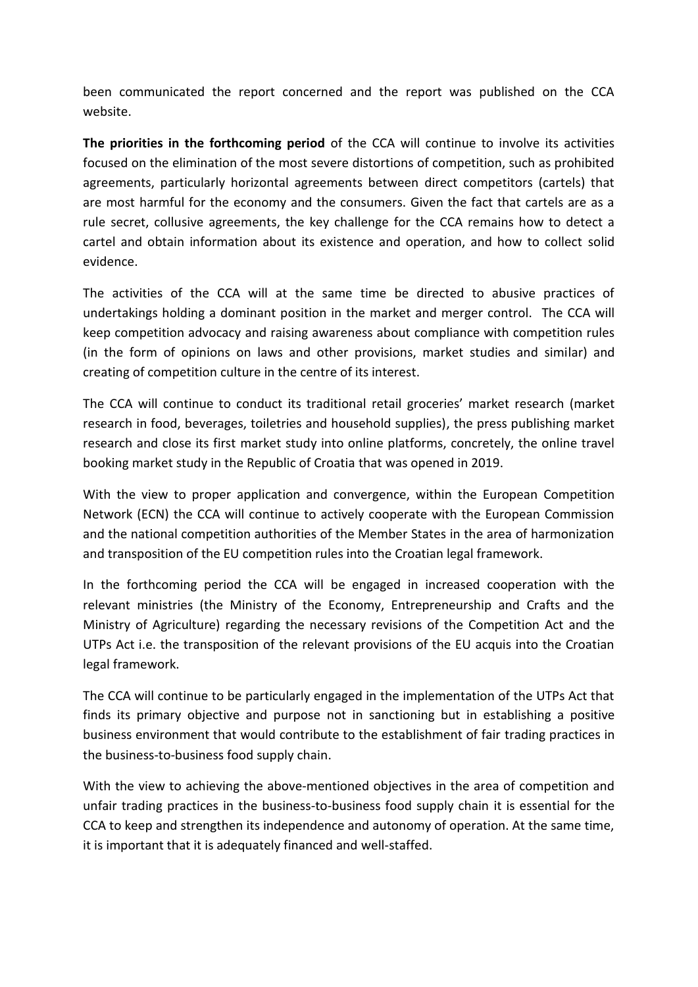been communicated the report concerned and the report was published on the CCA website.

**The priorities in the forthcoming period** of the CCA will continue to involve its activities focused on the elimination of the most severe distortions of competition, such as prohibited agreements, particularly horizontal agreements between direct competitors (cartels) that are most harmful for the economy and the consumers. Given the fact that cartels are as a rule secret, collusive agreements, the key challenge for the CCA remains how to detect a cartel and obtain information about its existence and operation, and how to collect solid evidence.

The activities of the CCA will at the same time be directed to abusive practices of undertakings holding a dominant position in the market and merger control. The CCA will keep competition advocacy and raising awareness about compliance with competition rules (in the form of opinions on laws and other provisions, market studies and similar) and creating of competition culture in the centre of its interest.

The CCA will continue to conduct its traditional retail groceries' market research (market research in food, beverages, toiletries and household supplies), the press publishing market research and close its first market study into online platforms, concretely, the online travel booking market study in the Republic of Croatia that was opened in 2019.

With the view to proper application and convergence, within the European Competition Network (ECN) the CCA will continue to actively cooperate with the European Commission and the national competition authorities of the Member States in the area of harmonization and transposition of the EU competition rules into the Croatian legal framework.

In the forthcoming period the CCA will be engaged in increased cooperation with the relevant ministries (the Ministry of the Economy, Entrepreneurship and Crafts and the Ministry of Agriculture) regarding the necessary revisions of the Competition Act and the UTPs Act i.e. the transposition of the relevant provisions of the EU acquis into the Croatian legal framework.

The CCA will continue to be particularly engaged in the implementation of the UTPs Act that finds its primary objective and purpose not in sanctioning but in establishing a positive business environment that would contribute to the establishment of fair trading practices in the business-to-business food supply chain.

With the view to achieving the above-mentioned objectives in the area of competition and unfair trading practices in the business-to-business food supply chain it is essential for the CCA to keep and strengthen its independence and autonomy of operation. At the same time, it is important that it is adequately financed and well-staffed.